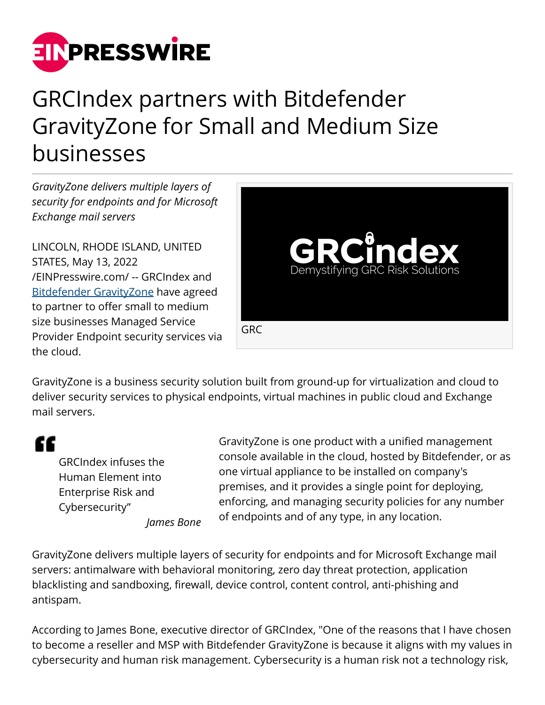

## GRCIndex partners with Bitdefender GravityZone for Small and Medium Size businesses

*GravityZone delivers multiple layers of security for endpoints and for Microsoft Exchange mail servers*

LINCOLN, RHODE ISLAND, UNITED STATES, May 13, 2022 [/EINPresswire.com/](http://www.einpresswire.com) -- GRCIndex and [Bitdefender GravityZone](http://grc-index.org) have agreed to partner to offer small to medium size businesses Managed Service Provider Endpoint security services via the cloud.



GravityZone is a business security solution built from ground-up for virtualization and cloud to deliver security services to physical endpoints, virtual machines in public cloud and Exchange mail servers.

## "

GRCIndex infuses the Human Element into Enterprise Risk and Cybersecurity" *James Bone* GravityZone is one product with a unified management console available in the cloud, hosted by Bitdefender, or as one virtual appliance to be installed on company's premises, and it provides a single point for deploying, enforcing, and managing security policies for any number of endpoints and of any type, in any location.

GravityZone delivers multiple layers of security for endpoints and for Microsoft Exchange mail servers: antimalware with behavioral monitoring, zero day threat protection, application blacklisting and sandboxing, firewall, device control, content control, anti-phishing and antispam.

According to James Bone, executive director of GRCIndex, "One of the reasons that I have chosen to become a reseller and MSP with Bitdefender GravityZone is because it aligns with my values in cybersecurity and human risk management. Cybersecurity is a human risk not a technology risk,